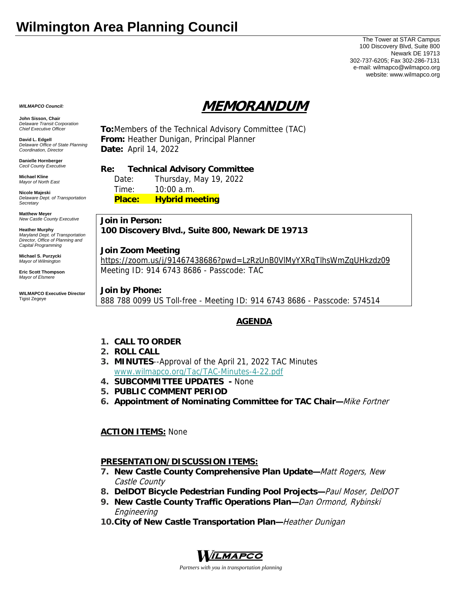The Tower at STAR Campus 100 Discovery Blvd, Suite 800 Newark DE 19713 302-737-6205; Fax 302-286-7131 e-mail: wilmapco@wilmapco.org website: www.wilmapco.org

# **MEMORANDUM**

*WILMAPCO Council:*

**John Sisson, Chair**  *Delaware Transit Corporation Chief Executive Officer*

**David L. Edgell**  *Delaware Office of State Planning Coordination, Director*

**Danielle Hornberger** *Cecil County Executive* 

**Michael Kline**  *Mayor of North East* 

**Nicole Majeski**  *Delaware Dept. of Transportation Secretary*

**Matthew Meyer**  *New Castle County Executive* 

**Heather Murphy**  *Maryland Dept. of Transportation Director, Office of Planning and Capital Programming* 

**Michael S. Purzycki**  *Mayor of Wilmington*

**Eric Scott Thompson**  *Mayor of Elsmere* 

**WILMAPCO Executive Director**  Tigist Zegeye

**To:**Members of the Technical Advisory Committee (TAC) **From:** Heather Dunigan, Principal Planner **Date:** April 14, 2022

**Re: Technical Advisory Committee** 

 Date: Thursday, May 19, 2022 Time: 10:00 a.m. **Place: Hybrid meeting**

**Join in Person: 100 Discovery Blvd., Suite 800, Newark DE 19713** 

**Join Zoom Meeting**

https://zoom.us/j/91467438686?pwd=LzRzUnB0VlMyYXRqTlhsWmZqUHkzdz09 Meeting ID: 914 6743 8686 - Passcode: TAC

**Join by Phone:** 888 788 0099 US Toll-free - Meeting ID: 914 6743 8686 - Passcode: 574514

## **AGENDA**

- **1. CALL TO ORDER**
- **2. ROLL CALL**
- **3. MINUTES**--Approval of the April 21, 2022 TAC Minutes www.wilmapco.org/Tac/TAC-Minutes-4-22.pdf
- **4. SUBCOMMITTEE UPDATES** None
- **5. PUBLIC COMMENT PERIOD**
- **6. Appointment of Nominating Committee for TAC Chair—**Mike Fortner

**ACTION ITEMS:** None

### **PRESENTATION/DISCUSSION ITEMS:**

- **7. New Castle County Comprehensive Plan Update—**Matt Rogers, New Castle County
- **8. DelDOT Bicycle Pedestrian Funding Pool Projects—**Paul Moser, DelDOT
- **9. New Castle County Traffic Operations Plan—**Dan Ormond, Rybinski Engineering
- **10.City of New Castle Transportation Plan—**Heather Dunigan



*Partners with you in transportation planning*